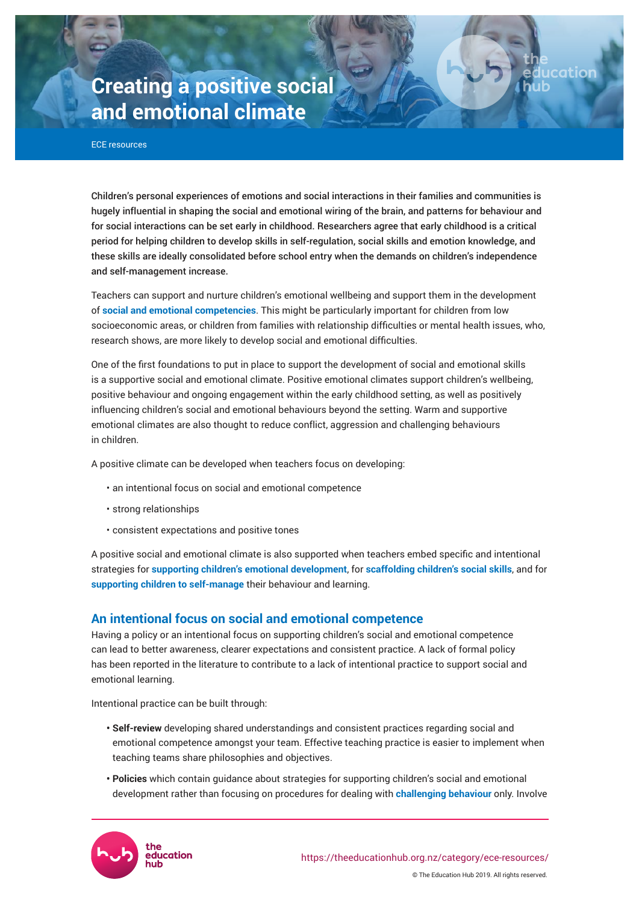# **Creating a positive social and emotional climate**

ECE resources

Children's personal experiences of emotions and social interactions in their families and communities is hugely influential in shaping the social and emotional wiring of the brain, and patterns for behaviour and for social interactions can be set early in childhood. Researchers agree that early childhood is a critical period for helping children to develop skills in self-regulation, social skills and emotion knowledge, and these skills are ideally consolidated before school entry when the demands on children's independence and self-management increase.

catior

Teachers can support and nurture children's emotional wellbeing and support them in the development of **social and emotional competencies**. This might be particularly important for children from low socioeconomic areas, or children from families with relationship difficulties or mental health issues, who, research shows, are more likely to develop social and emotional difficulties.

One of the first foundations to put in place to support the development of social and emotional skills is a supportive social and emotional climate. Positive emotional climates support children's wellbeing, positive behaviour and ongoing engagement within the early childhood setting, as well as positively influencing children's social and emotional behaviours beyond the setting. Warm and supportive emotional climates are also thought to reduce conflict, aggression and challenging behaviours in children.

A positive climate can be developed when teachers focus on developing:

- an intentional focus on social and emotional competence
- strong relationships
- consistent expectations and positive tones

A positive social and emotional climate is also supported when teachers embed specific and intentional strategies for **supporting children's emotional development**, for **scaffolding children's social skills**, and for **supporting children to self-manage** their behaviour and learning.

## **An intentional focus on social and emotional competence**

Having a policy or an intentional focus on supporting children's social and emotional competence can lead to better awareness, clearer expectations and consistent practice. A lack of formal policy has been reported in the literature to contribute to a lack of intentional practice to support social and emotional learning.

Intentional practice can be built through:

- **Self-review** developing shared understandings and consistent practices regarding social and emotional competence amongst your team. Effective teaching practice is easier to implement when teaching teams share philosophies and objectives.
- **Policies** which contain guidance about strategies for supporting children's social and emotional development rather than focusing on procedures for dealing with **challenging behaviour** only. Involve

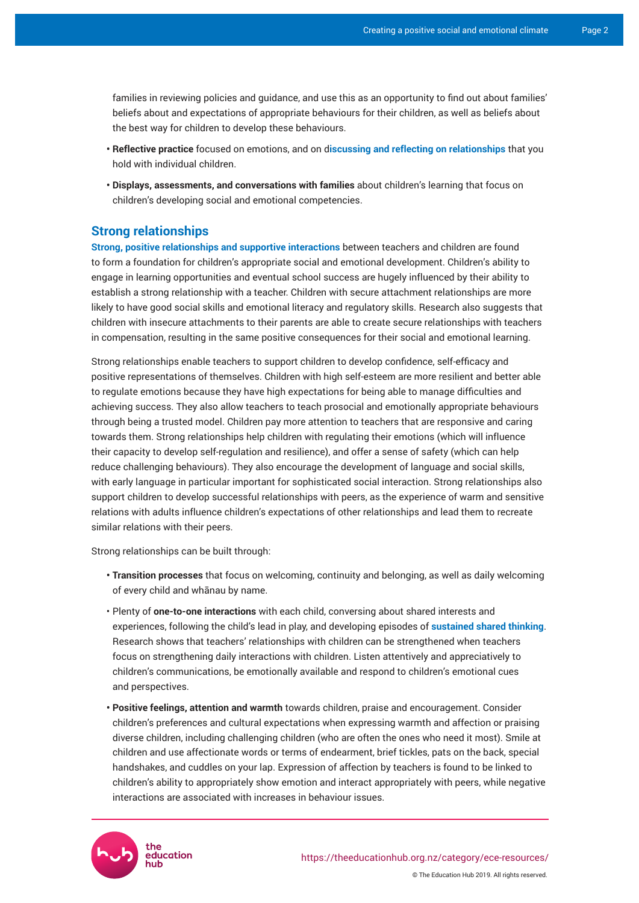families in reviewing policies and guidance, and use this as an opportunity to find out about families' beliefs about and expectations of appropriate behaviours for their children, as well as beliefs about the best way for children to develop these behaviours.

- **Reflective practice** focused on emotions, and on discussing and reflecting on relationships that you hold with individual children.
- **Displays, assessments, and conversations with families** about children's learning that focus on children's developing social and emotional competencies.

### **Strong relationships**

**[Strong, positive relationships and supportive interactions](https://theeducationhub.org.nz/what-matters-in-infant-and-toddler-pedagogy/)** between teachers and children are found to form a foundation for children's appropriate social and emotional development. Children's ability to engage in learning opportunities and eventual school success are hugely influenced by their ability to establish a strong relationship with a teacher. Children with secure attachment relationships are more likely to have good social skills and emotional literacy and regulatory skills. Research also suggests that children with insecure attachments to their parents are able to create secure relationships with teachers in compensation, resulting in the same positive consequences for their social and emotional learning.

Strong relationships enable teachers to support children to develop confidence, self-efficacy and positive representations of themselves. Children with high self-esteem are more resilient and better able to regulate emotions because they have high expectations for being able to manage difficulties and achieving success. They also allow teachers to teach prosocial and emotionally appropriate behaviours through being a trusted model. Children pay more attention to teachers that are responsive and caring towards them. Strong relationships help children with regulating their emotions (which will influence their capacity to develop self-regulation and resilience), and offer a sense of safety (which can help reduce challenging behaviours). They also encourage the development of language and social skills, with early language in particular important for sophisticated social interaction. Strong relationships also support children to develop successful relationships with peers, as the experience of warm and sensitive relations with adults influence children's expectations of other relationships and lead them to recreate similar relations with their peers.

Strong relationships can be built through:

- **Transition processes** that focus on welcoming, continuity and belonging, as well as daily welcoming of every child and whānau by name.
- Plenty of **one-to-one interactions** with each child, conversing about shared interests and experiences, following the child's lead in play, and developing episodes of **[sustained shared thinking](https://theeducationhub.org.nz/category/ece-resources/intentional-teaching-in-ece/)**. Research shows that teachers' relationships with children can be strengthened when teachers focus on strengthening daily interactions with children. Listen attentively and appreciatively to children's communications, be emotionally available and respond to children's emotional cues and perspectives.
- **Positive feelings, attention and warmth** towards children, praise and encouragement. Consider children's preferences and cultural expectations when expressing warmth and affection or praising diverse children, including challenging children (who are often the ones who need it most). Smile at children and use affectionate words or terms of endearment, brief tickles, pats on the back, special handshakes, and cuddles on your lap. Expression of affection by teachers is found to be linked to children's ability to appropriately show emotion and interact appropriately with peers, while negative interactions are associated with increases in behaviour issues.

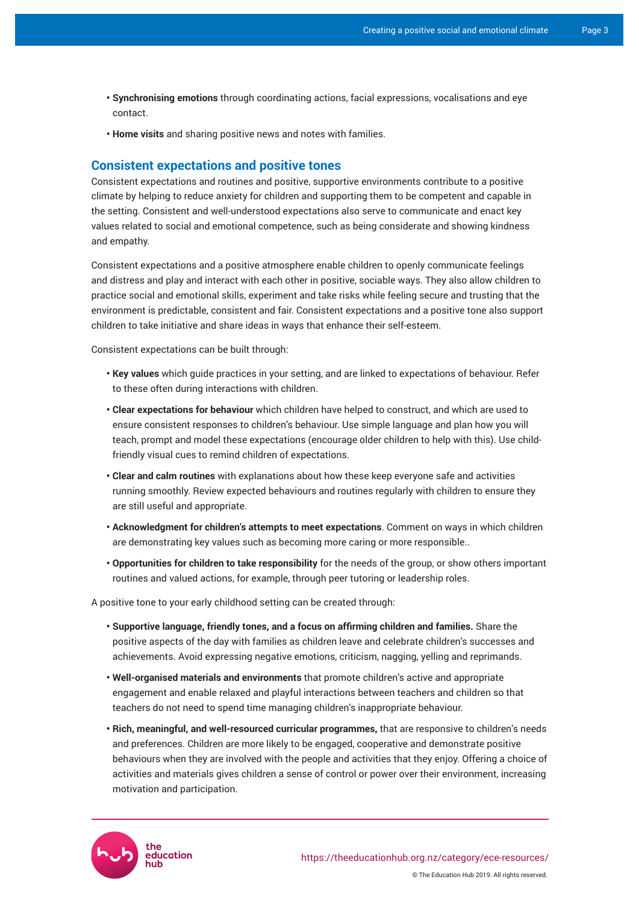- **Synchronising emotions** through coordinating actions, facial expressions, vocalisations and eye contact.
- **Home visits** and sharing positive news and notes with families.

#### **Consistent expectations and positive tones**

Consistent expectations and routines and positive, supportive environments contribute to a positive climate by helping to reduce anxiety for children and supporting them to be competent and capable in the setting. Consistent and well-understood expectations also serve to communicate and enact key values related to social and emotional competence, such as being considerate and showing kindness and empathy.

Consistent expectations and a positive atmosphere enable children to openly communicate feelings and distress and play and interact with each other in positive, sociable ways. They also allow children to practice social and emotional skills, experiment and take risks while feeling secure and trusting that the environment is predictable, consistent and fair. Consistent expectations and a positive tone also support children to take initiative and share ideas in ways that enhance their self-esteem.

Consistent expectations can be built through:

- **Key values** which guide practices in your setting, and are linked to expectations of behaviour. Refer to these often during interactions with children.
- **Clear expectations for behaviour** which children have helped to construct, and which are used to ensure consistent responses to children's behaviour. Use simple language and plan how you will teach, prompt and model these expectations (encourage older children to help with this). Use childfriendly visual cues to remind children of expectations.
- **Clear and calm routines** with explanations about how these keep everyone safe and activities running smoothly. Review expected behaviours and routines regularly with children to ensure they are still useful and appropriate.
- **Acknowledgment for children's attempts to meet expectations**. Comment on ways in which children are demonstrating key values such as becoming more caring or more responsible..
- **Opportunities for children to take responsibility** for the needs of the group, or show others important routines and valued actions, for example, through peer tutoring or leadership roles.

A positive tone to your early childhood setting can be created through:

- **Supportivelanguage,friendlytones,andafocusonaffirmingchildrenandfamilies.** Share the positive aspects of the day with families as children leave and celebrate children's successes and achievements. Avoid expressing negative emotions, criticism, nagging, yelling and reprimands.
- **Well-organised materials and environments** that promote children's active and appropriate engagement and enable relaxed and playful interactions between teachers and children so that teachers do not need to spend time managing children's inappropriate behaviour.
- **Rich, meaningful, and well-resourced curricular programmes,** that are responsive to children's needs and preferences. Children are more likely to be engaged, cooperative and demonstrate positive behaviours when they are involved with the people and activities that they enjoy. Offering a choice of activities and materials gives children a sense of control or power over their environment, increasing motivation and participation.



© The Education Hub 2019. All rights reserved.